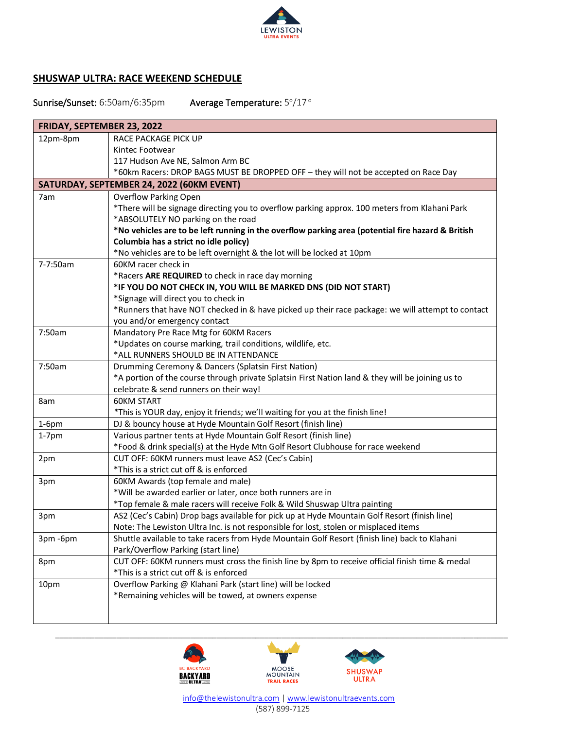

## **SHUSWAP ULTRA: RACE WEEKEND SCHEDULE**

## Sunrise/Sunset: 6:50am/6:35pm  $\degree$ /17 $\degree$

| FRIDAY, SEPTEMBER 23, 2022                |                                                                                                   |  |
|-------------------------------------------|---------------------------------------------------------------------------------------------------|--|
| 12pm-8pm                                  | RACE PACKAGE PICK UP                                                                              |  |
|                                           | Kintec Footwear                                                                                   |  |
|                                           | 117 Hudson Ave NE, Salmon Arm BC                                                                  |  |
|                                           | *60km Racers: DROP BAGS MUST BE DROPPED OFF - they will not be accepted on Race Day               |  |
| SATURDAY, SEPTEMBER 24, 2022 (60KM EVENT) |                                                                                                   |  |
| 7am                                       | <b>Overflow Parking Open</b>                                                                      |  |
|                                           | *There will be signage directing you to overflow parking approx. 100 meters from Klahani Park     |  |
|                                           | *ABSOLUTELY NO parking on the road                                                                |  |
|                                           | *No vehicles are to be left running in the overflow parking area (potential fire hazard & British |  |
|                                           | Columbia has a strict no idle policy)                                                             |  |
|                                           | *No vehicles are to be left overnight & the lot will be locked at 10pm                            |  |
| 7-7:50am                                  | 60KM racer check in                                                                               |  |
|                                           | *Racers ARE REQUIRED to check in race day morning                                                 |  |
|                                           | *IF YOU DO NOT CHECK IN, YOU WILL BE MARKED DNS (DID NOT START)                                   |  |
|                                           | *Signage will direct you to check in                                                              |  |
|                                           | *Runners that have NOT checked in & have picked up their race package: we will attempt to contact |  |
|                                           | you and/or emergency contact                                                                      |  |
| 7:50am                                    | Mandatory Pre Race Mtg for 60KM Racers                                                            |  |
|                                           | *Updates on course marking, trail conditions, wildlife, etc.                                      |  |
|                                           | *ALL RUNNERS SHOULD BE IN ATTENDANCE                                                              |  |
| 7:50am                                    | Drumming Ceremony & Dancers (Splatsin First Nation)                                               |  |
|                                           | *A portion of the course through private Splatsin First Nation land & they will be joining us to  |  |
|                                           | celebrate & send runners on their way!                                                            |  |
| 8am                                       | <b>60KM START</b>                                                                                 |  |
|                                           | *This is YOUR day, enjoy it friends; we'll waiting for you at the finish line!                    |  |
| $1-6pm$                                   | DJ & bouncy house at Hyde Mountain Golf Resort (finish line)                                      |  |
| $1-7$ pm                                  | Various partner tents at Hyde Mountain Golf Resort (finish line)                                  |  |
|                                           | *Food & drink special(s) at the Hyde Mtn Golf Resort Clubhouse for race weekend                   |  |
| 2pm                                       | CUT OFF: 60KM runners must leave AS2 (Cec's Cabin)                                                |  |
|                                           | *This is a strict cut off & is enforced                                                           |  |
| 3pm                                       | 60KM Awards (top female and male)                                                                 |  |
|                                           | *Will be awarded earlier or later, once both runners are in                                       |  |
|                                           | *Top female & male racers will receive Folk & Wild Shuswap Ultra painting                         |  |
| 3pm                                       | AS2 (Cec's Cabin) Drop bags available for pick up at Hyde Mountain Golf Resort (finish line)      |  |
|                                           | Note: The Lewiston Ultra Inc. is not responsible for lost, stolen or misplaced items              |  |
| 3pm-6pm                                   | Shuttle available to take racers from Hyde Mountain Golf Resort (finish line) back to Klahani     |  |
|                                           | Park/Overflow Parking (start line)                                                                |  |
| 8pm                                       | CUT OFF: 60KM runners must cross the finish line by 8pm to receive official finish time & medal   |  |
|                                           | *This is a strict cut off & is enforced                                                           |  |
| 10pm                                      | Overflow Parking @ Klahani Park (start line) will be locked                                       |  |
|                                           | *Remaining vehicles will be towed, at owners expense                                              |  |
|                                           |                                                                                                   |  |
|                                           |                                                                                                   |  |



 [info@thelewistonultra.com](mailto:info@thelewistonultra.com) [| www.lewistonultraevents.com](http://www.lewistonultraevents.com/) (587) 899-7125